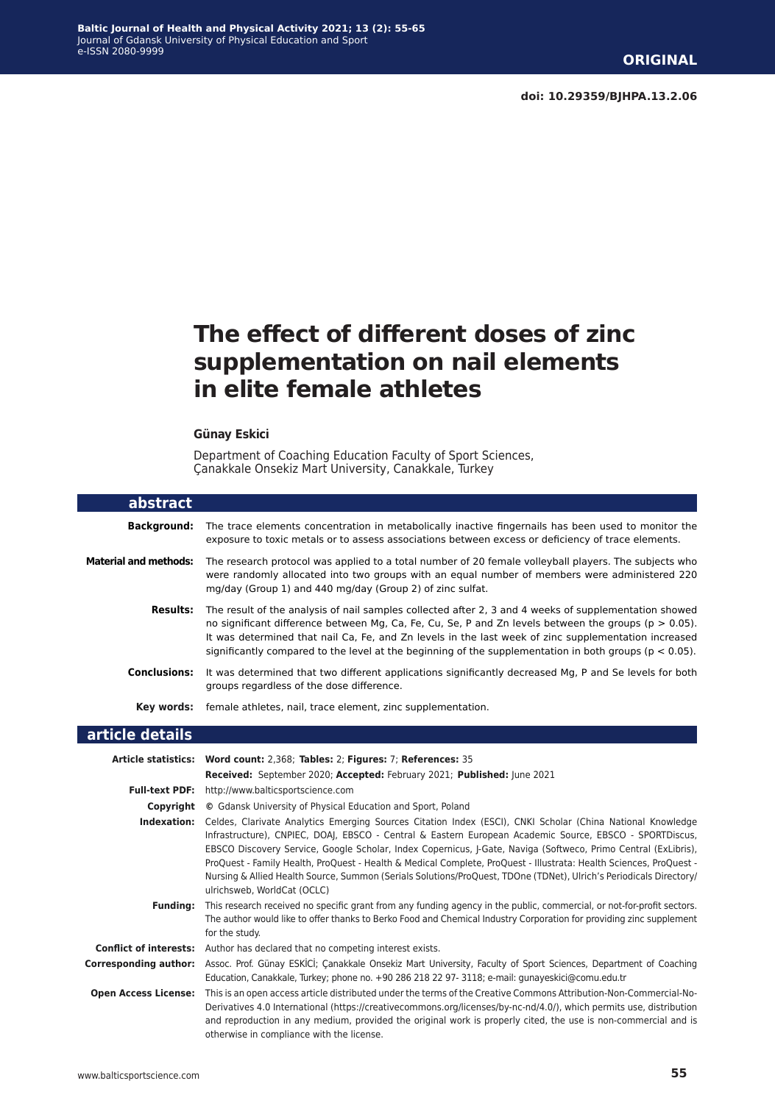# **The effect of different doses of zinc supplementation on nail elements in elite female athletes**

#### **Günay Eski̇ci̇**

Department of Coaching Education Faculty of Sport Sciences, Çanakkale Onsekiz Mart University, Canakkale, Turkey

| abstract                      |                                                                                                                                                                                                                                                                                                                                                                                                                                                                                                                                                                                                                    |
|-------------------------------|--------------------------------------------------------------------------------------------------------------------------------------------------------------------------------------------------------------------------------------------------------------------------------------------------------------------------------------------------------------------------------------------------------------------------------------------------------------------------------------------------------------------------------------------------------------------------------------------------------------------|
| <b>Background:</b>            | The trace elements concentration in metabolically inactive fingernails has been used to monitor the<br>exposure to toxic metals or to assess associations between excess or deficiency of trace elements.                                                                                                                                                                                                                                                                                                                                                                                                          |
| <b>Material and methods:</b>  | The research protocol was applied to a total number of 20 female volleyball players. The subjects who<br>were randomly allocated into two groups with an equal number of members were administered 220<br>mg/day (Group 1) and 440 mg/day (Group 2) of zinc sulfat.                                                                                                                                                                                                                                                                                                                                                |
| <b>Results:</b>               | The result of the analysis of nail samples collected after 2, 3 and 4 weeks of supplementation showed<br>no significant difference between Mg, Ca, Fe, Cu, Se, P and Zn levels between the groups ( $p > 0.05$ ).<br>It was determined that nail Ca, Fe, and Zn levels in the last week of zinc supplementation increased<br>significantly compared to the level at the beginning of the supplementation in both groups ( $p < 0.05$ ).                                                                                                                                                                            |
| <b>Conclusions:</b>           | It was determined that two different applications significantly decreased Mg, P and Se levels for both<br>groups regardless of the dose difference.                                                                                                                                                                                                                                                                                                                                                                                                                                                                |
|                               | <b>Key words:</b> female athletes, nail, trace element, zinc supplementation.                                                                                                                                                                                                                                                                                                                                                                                                                                                                                                                                      |
| article details               |                                                                                                                                                                                                                                                                                                                                                                                                                                                                                                                                                                                                                    |
|                               | Article statistics: Word count: 2,368; Tables: 2; Figures: 7; References: 35                                                                                                                                                                                                                                                                                                                                                                                                                                                                                                                                       |
|                               | Received: September 2020; Accepted: February 2021; Published: June 2021                                                                                                                                                                                                                                                                                                                                                                                                                                                                                                                                            |
| <b>Full-text PDF:</b>         | http://www.balticsportscience.com                                                                                                                                                                                                                                                                                                                                                                                                                                                                                                                                                                                  |
| Copyright                     | © Gdansk University of Physical Education and Sport, Poland                                                                                                                                                                                                                                                                                                                                                                                                                                                                                                                                                        |
| Indexation:                   | Celdes, Clarivate Analytics Emerging Sources Citation Index (ESCI), CNKI Scholar (China National Knowledge<br>Infrastructure), CNPIEC, DOAJ, EBSCO - Central & Eastern European Academic Source, EBSCO - SPORTDiscus,<br>EBSCO Discovery Service, Google Scholar, Index Copernicus, J-Gate, Naviga (Softweco, Primo Central (ExLibris),<br>ProQuest - Family Health, ProQuest - Health & Medical Complete, ProQuest - Illustrata: Health Sciences, ProQuest -<br>Nursing & Allied Health Source, Summon (Serials Solutions/ProQuest, TDOne (TDNet), Ulrich's Periodicals Directory/<br>ulrichsweb, WorldCat (OCLC) |
| <b>Funding:</b>               | This research received no specific grant from any funding agency in the public, commercial, or not-for-profit sectors.<br>The author would like to offer thanks to Berko Food and Chemical Industry Corporation for providing zinc supplement<br>for the study.                                                                                                                                                                                                                                                                                                                                                    |
| <b>Conflict of interests:</b> | Author has declared that no competing interest exists.                                                                                                                                                                                                                                                                                                                                                                                                                                                                                                                                                             |
| <b>Corresponding author:</b>  | Assoc. Prof. Günay ESKİCİ; Çanakkale Onsekiz Mart University, Faculty of Sport Sciences, Department of Coaching<br>Education, Canakkale, Turkey; phone no. +90 286 218 22 97- 3118; e-mail: gunayeskici@comu.edu.tr                                                                                                                                                                                                                                                                                                                                                                                                |
| <b>Open Access License:</b>   | This is an open access article distributed under the terms of the Creative Commons Attribution-Non-Commercial-No-<br>Derivatives 4.0 International (https://creativecommons.org/licenses/by-nc-nd/4.0/), which permits use, distribution<br>and reproduction in any medium, provided the original work is properly cited, the use is non-commercial and is<br>otherwise in compliance with the license.                                                                                                                                                                                                            |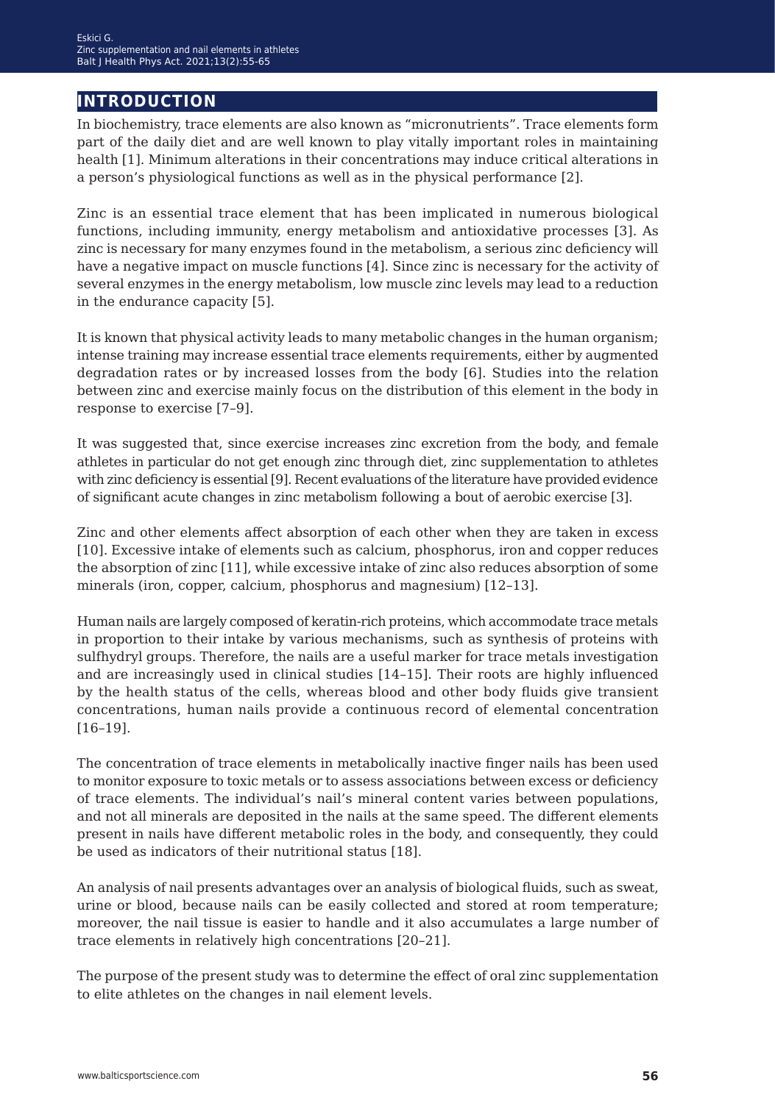### **introduction**

In biochemistry, trace elements are also known as "micronutrients". Trace elements form part of the daily diet and are well known to play vitally important roles in maintaining health [1]. Minimum alterations in their concentrations may induce critical alterations in a person's physiological functions as well as in the physical performance [2].

Zinc is an essential trace element that has been implicated in numerous biological functions, including immunity, energy metabolism and antioxidative processes [3]. As zinc is necessary for many enzymes found in the metabolism, a serious zinc deficiency will have a negative impact on muscle functions [4]. Since zinc is necessary for the activity of several enzymes in the energy metabolism, low muscle zinc levels may lead to a reduction in the endurance capacity [5].

It is known that physical activity leads to many metabolic changes in the human organism; intense training may increase essential trace elements requirements, either by augmented degradation rates or by increased losses from the body [6]. Studies into the relation between zinc and exercise mainly focus on the distribution of this element in the body in response to exercise [7–9].

It was suggested that, since exercise increases zinc excretion from the body, and female athletes in particular do not get enough zinc through diet, zinc supplementation to athletes with zinc deficiency is essential [9]. Recent evaluations of the literature have provided evidence of significant acute changes in zinc metabolism following a bout of aerobic exercise [3].

Zinc and other elements affect absorption of each other when they are taken in excess [10]. Excessive intake of elements such as calcium, phosphorus, iron and copper reduces the absorption of zinc [11], while excessive intake of zinc also reduces absorption of some minerals (iron, copper, calcium, phosphorus and magnesium) [12–13].

Human nails are largely composed of keratin-rich proteins, which accommodate trace metals in proportion to their intake by various mechanisms, such as synthesis of proteins with sulfhydryl groups. Therefore, the nails are a useful marker for trace metals investigation and are increasingly used in clinical studies [14–15]. Their roots are highly influenced by the health status of the cells, whereas blood and other body fluids give transient concentrations, human nails provide a continuous record of elemental concentration [16–19].

The concentration of trace elements in metabolically inactive finger nails has been used to monitor exposure to toxic metals or to assess associations between excess or deficiency of trace elements. The individual's nail's mineral content varies between populations, and not all minerals are deposited in the nails at the same speed. The different elements present in nails have different metabolic roles in the body, and consequently, they could be used as indicators of their nutritional status [18].

An analysis of nail presents advantages over an analysis of biological fluids, such as sweat, urine or blood, because nails can be easily collected and stored at room temperature; moreover, the nail tissue is easier to handle and it also accumulates a large number of trace elements in relatively high concentrations [20–21].

The purpose of the present study was to determine the effect of oral zinc supplementation to elite athletes on the changes in nail element levels.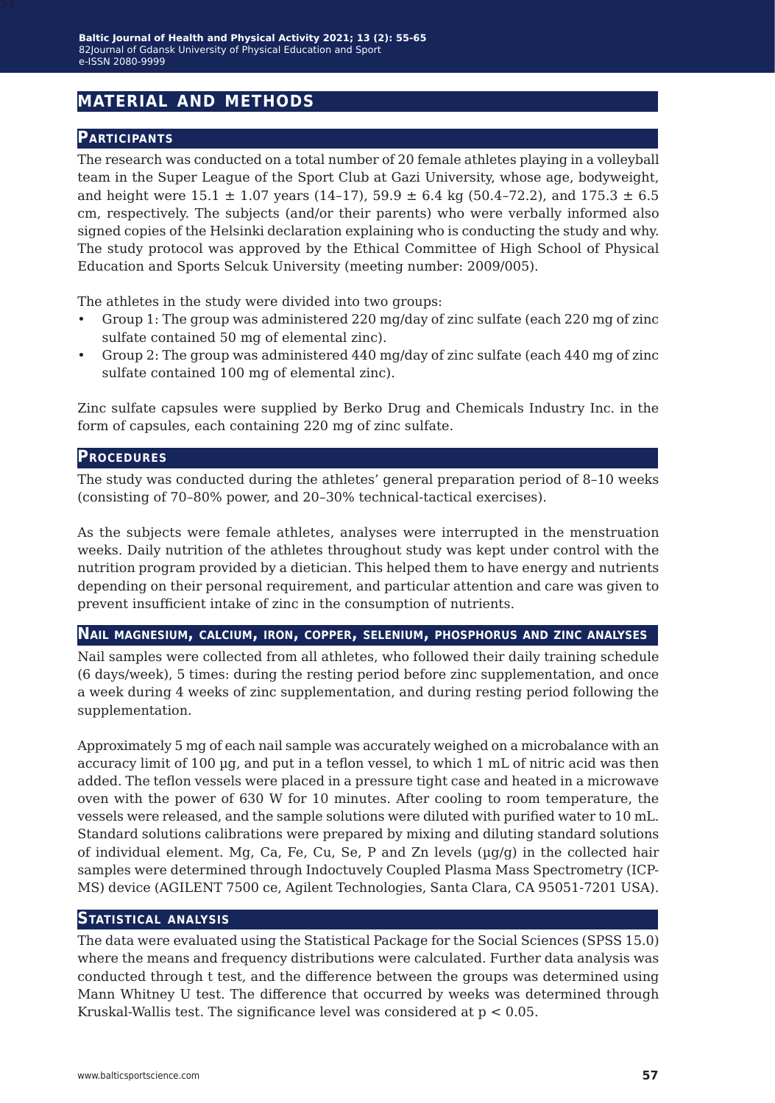## **material and methods**

### **Participants**

The research was conducted on a total number of 20 female athletes playing in a volleyball team in the Super League of the Sport Club at Gazi University, whose age, bodyweight, and height were  $15.1 \pm 1.07$  years  $(14-17)$ ,  $59.9 \pm 6.4$  kg  $(50.4-72.2)$ , and  $175.3 \pm 6.5$ cm, respectively. The subjects (and/or their parents) who were verbally informed also signed copies of the Helsinki declaration explaining who is conducting the study and why. The study protocol was approved by the Ethical Committee of High School of Physical Education and Sports Selcuk University (meeting number: 2009/005).

The athletes in the study were divided into two groups:

- Group 1: The group was administered 220 mg/day of zinc sulfate (each 220 mg of zinc sulfate contained 50 mg of elemental zinc).
- Group 2: The group was administered 440 mg/day of zinc sulfate (each 440 mg of zinc sulfate contained 100 mg of elemental zinc).

Zinc sulfate capsules were supplied by Berko Drug and Chemicals Industry Inc. in the form of capsules, each containing 220 mg of zinc sulfate.

#### **Procedures**

The study was conducted during the athletes' general preparation period of 8–10 weeks (consisting of 70–80% power, and 20–30% technical-tactical exercises).

As the subjects were female athletes, analyses were interrupted in the menstruation weeks. Daily nutrition of the athletes throughout study was kept under control with the nutrition program provided by a dietician. This helped them to have energy and nutrients depending on their personal requirement, and particular attention and care was given to prevent insufficient intake of zinc in the consumption of nutrients.

#### **Nail magnesium, calcium, iron, copper, selenium, phosphorus and zinc analyses**

Nail samples were collected from all athletes, who followed their daily training schedule (6 days/week), 5 times: during the resting period before zinc supplementation, and once a week during 4 weeks of zinc supplementation, and during resting period following the supplementation.

Approximately 5 mg of each nail sample was accurately weighed on a microbalance with an accuracy limit of 100 µg, and put in a teflon vessel, to which 1 mL of nitric acid was then added. The teflon vessels were placed in a pressure tight case and heated in a microwave oven with the power of 630 W for 10 minutes. After cooling to room temperature, the vessels were released, and the sample solutions were diluted with purified water to 10 mL. Standard solutions calibrations were prepared by mixing and diluting standard solutions of individual element. Mg, Ca, Fe, Cu, Se, P and Zn levels  $(\mu q/q)$  in the collected hair samples were determined through Indoctuvely Coupled Plasma Mass Spectrometry (ICP-MS) device (AGILENT 7500 ce, Agilent Technologies, Santa Clara, CA 95051-7201 USA).

### **Statistical analysis**

The data were evaluated using the Statistical Package for the Social Sciences (SPSS 15.0) where the means and frequency distributions were calculated. Further data analysis was conducted through t test, and the difference between the groups was determined using Mann Whitney U test. The difference that occurred by weeks was determined through Kruskal-Wallis test. The significance level was considered at  $p < 0.05$ .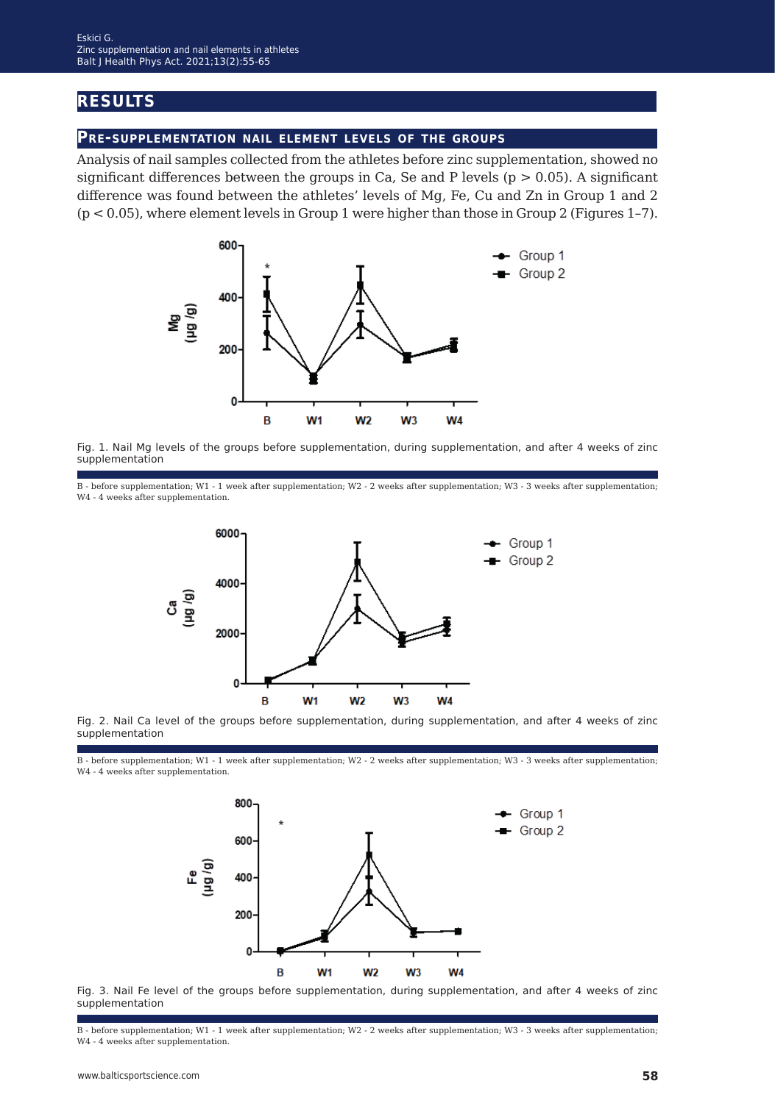### **results**

### **Pre-supplementation nail element levels of the groups**

Analysis of nail samples collected from the athletes before zinc supplementation, showed no significant differences between the groups in Ca, Se and P levels ( $p > 0.05$ ). A significant difference was found between the athletes' levels of Mg, Fe, Cu and Zn in Group 1 and 2 (p < 0.05), where element levels in Group 1 were higher than those in Group 2 (Figures 1–7).



Fig. 1. Nail Mg levels of the groups before supplementation, during supplementation, and after 4 weeks of zinc supplementation

B - before supplementation; W1 - 1 week after supplementation; W2 - 2 weeks after supplementation; W3 - 3 weeks after supplementation; W4 - 4 weeks after supplementation.



Fig. 2. Nail Ca level of the groups before supplementation, during supplementation, and after 4 weeks of zinc supplementation

B - before supplementation; W1 - 1 week after supplementation; W2 - 2 weeks after supplementation; W3 - 3 weeks after supplementation; W4 - 4 weeks after supplementation.



Fig. 3. Nail Fe level of the groups before supplementation, during supplementation, and after 4 weeks of zinc supplementation

B - before supplementation; W1 - 1 week after supplementation; W2 - 2 weeks after supplementation; W3 - 3 weeks after supplementation; W4 - 4 weeks after supplementation.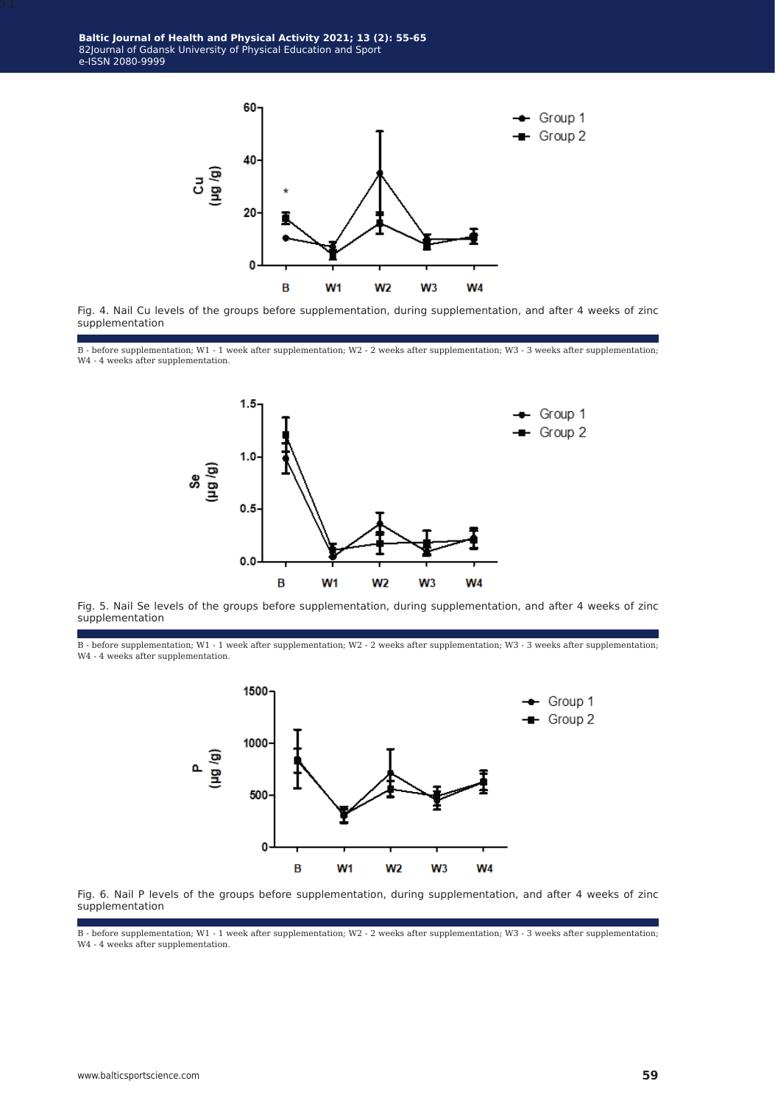**Baltic Journal of Health and Physical Activity 2021; 13 (2): 55-65** 82Journal of Gdansk University of Physical Education and Sport e-ISSN 2080-9999



Fig. 4. Nail Cu levels of the groups before supplementation, during supplementation, and after 4 weeks of zinc supplementation

B - before supplementation; W1 - 1 week after supplementation; W2 - 2 weeks after supplementation; W3 - 3 weeks after supplementation; W4 - 4 weeks after supplementation.



Fig. 5. Nail Se levels of the groups before supplementation, during supplementation, and after 4 weeks of zinc supplementation

B - before supplementation; W1 - 1 week after supplementation; W2 - 2 weeks after supplementation; W3 - 3 weeks after supplementation; W4 - 4 weeks after supplementation.





B - before supplementation; W1 - 1 week after supplementation; W2 - 2 weeks after supplementation; W3 - 3 weeks after supplementation; W4 - 4 weeks after supplementation.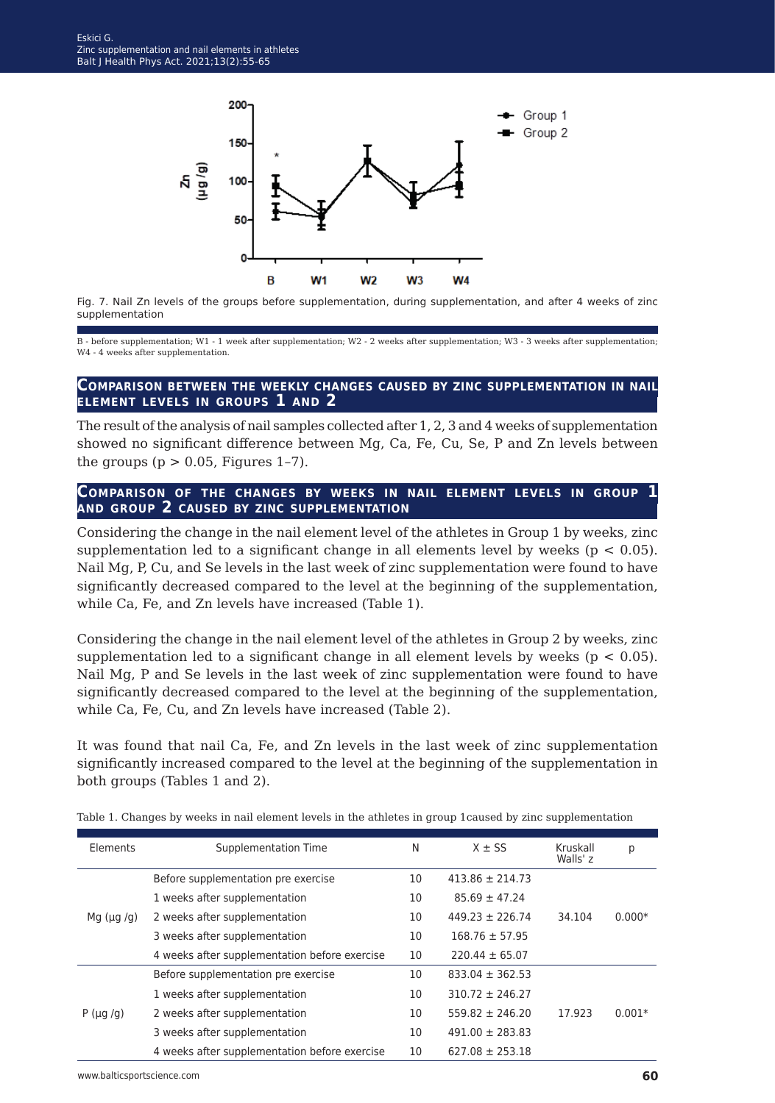

Fig. 7. Nail Zn levels of the groups before supplementation, during supplementation, and after 4 weeks of zinc supplementation

B - before supplementation; W1 - 1 week after supplementation; W2 - 2 weeks after supplementation; W3 - 3 weeks after supplementation; W4 - 4 weeks after supplementation.

#### **Comparison between the weekly changes caused by zinc supplementation in nail element levels in groups 1 and 2**

The result of the analysis of nail samples collected after 1, 2, 3 and 4 weeks of supplementation showed no significant difference between Mg, Ca, Fe, Cu, Se, P and Zn levels between the groups ( $p > 0.05$ , Figures 1-7).

#### **Comparison of the changes by weeks in nail element levels in group 1 and group 2 caused by zinc supplementation**

Considering the change in the nail element level of the athletes in Group 1 by weeks, zinc supplementation led to a significant change in all elements level by weeks ( $p < 0.05$ ). Nail Mg, P, Cu, and Se levels in the last week of zinc supplementation were found to have significantly decreased compared to the level at the beginning of the supplementation, while Ca, Fe, and Zn levels have increased (Table 1).

Considering the change in the nail element level of the athletes in Group 2 by weeks, zinc supplementation led to a significant change in all element levels by weeks ( $p < 0.05$ ). Nail Mg, P and Se levels in the last week of zinc supplementation were found to have significantly decreased compared to the level at the beginning of the supplementation, while Ca, Fe, Cu, and Zn levels have increased (Table 2).

It was found that nail Ca, Fe, and Zn levels in the last week of zinc supplementation significantly increased compared to the level at the beginning of the supplementation in both groups (Tables 1 and 2).

| Elements         | Supplementation Time                          | N  | $X \pm SS$          | Kruskall<br>Walls' z | р        |
|------------------|-----------------------------------------------|----|---------------------|----------------------|----------|
| Mg $(\mu g / g)$ | Before supplementation pre exercise           | 10 | $413.86 \pm 214.73$ |                      |          |
|                  | 1 weeks after supplementation                 | 10 | $85.69 \pm 47.24$   |                      |          |
|                  | 2 weeks after supplementation                 | 10 | $449.23 \pm 226.74$ | 34.104               | $0.000*$ |
|                  | 3 weeks after supplementation                 | 10 | $168.76 \pm 57.95$  |                      |          |
|                  | 4 weeks after supplementation before exercise | 10 | $220.44 \pm 65.07$  |                      |          |
| $P(\mu q/q)$     | Before supplementation pre exercise           | 10 | $833.04 \pm 362.53$ |                      |          |
|                  | 1 weeks after supplementation                 | 10 | $310.72 \pm 246.27$ |                      |          |
|                  | 2 weeks after supplementation                 | 10 | $559.82 \pm 246.20$ | 17.923               | $0.001*$ |
|                  | 3 weeks after supplementation                 | 10 | $491.00 \pm 283.83$ |                      |          |
|                  | 4 weeks after supplementation before exercise | 10 | $627.08 \pm 253.18$ |                      |          |

Table 1. Changes by weeks in nail element levels in the athletes in group 1caused by zinc supplementation

www.balticsportscience.com **60**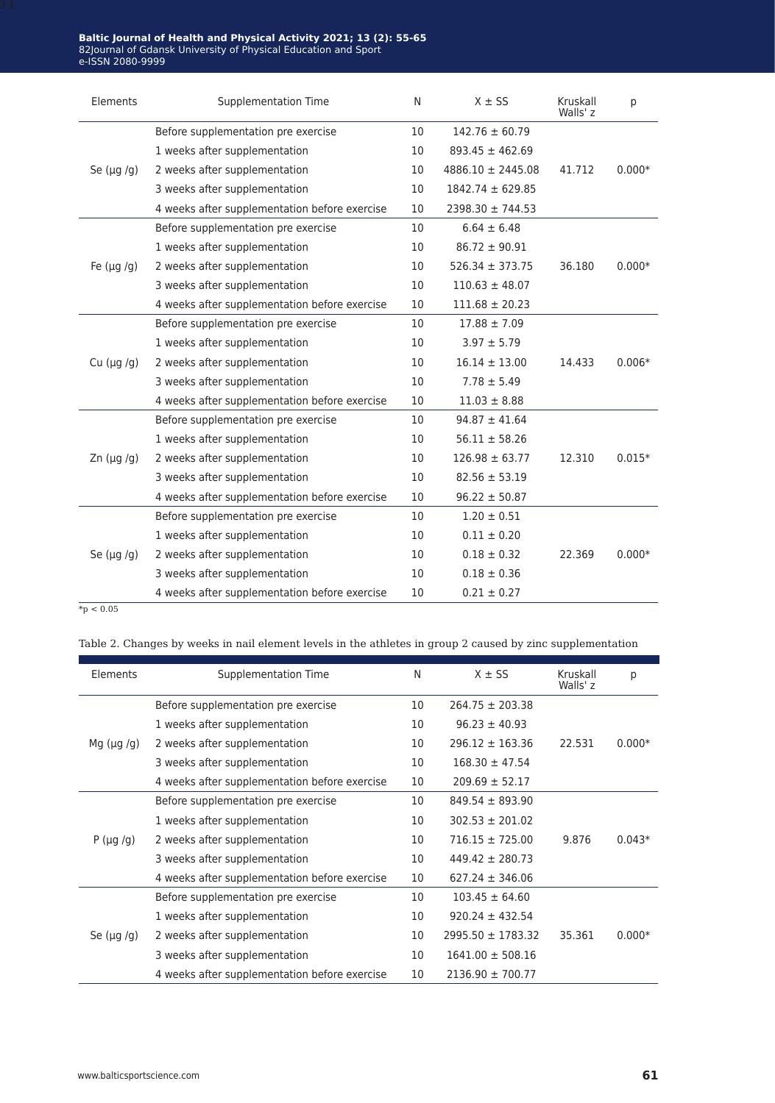| Elements           | Supplementation Time                          | N  | $X \pm SS$            | Kruskall<br>Walls' z | p        |
|--------------------|-----------------------------------------------|----|-----------------------|----------------------|----------|
| Se $(\mu g / g)$   | Before supplementation pre exercise           | 10 | $142.76 \pm 60.79$    |                      |          |
|                    | 1 weeks after supplementation                 | 10 | $893.45 \pm 462.69$   |                      |          |
|                    | 2 weeks after supplementation                 | 10 | $4886.10 \pm 2445.08$ | 41.712               | $0.000*$ |
|                    | 3 weeks after supplementation                 | 10 | $1842.74 \pm 629.85$  |                      |          |
|                    | 4 weeks after supplementation before exercise | 10 | $2398.30 \pm 744.53$  |                      |          |
|                    | Before supplementation pre exercise           | 10 | $6.64 \pm 6.48$       |                      |          |
|                    | 1 weeks after supplementation                 | 10 | $86.72 \pm 90.91$     |                      |          |
| Fe $(\mu g / g)$   | 2 weeks after supplementation                 | 10 | $526.34 \pm 373.75$   | 36.180               | $0.000*$ |
|                    | 3 weeks after supplementation                 | 10 | $110.63 \pm 48.07$    |                      |          |
|                    | 4 weeks after supplementation before exercise | 10 | $111.68 \pm 20.23$    |                      |          |
|                    | Before supplementation pre exercise           | 10 | $17.88 \pm 7.09$      |                      |          |
|                    | 1 weeks after supplementation                 | 10 | $3.97 \pm 5.79$       |                      |          |
| Cu $(\mu g / g)$   | 2 weeks after supplementation                 | 10 | $16.14 \pm 13.00$     | 14.433               | $0.006*$ |
|                    | 3 weeks after supplementation                 | 10 | $7.78 \pm 5.49$       |                      |          |
|                    | 4 weeks after supplementation before exercise | 10 | $11.03 \pm 8.88$      |                      |          |
|                    | Before supplementation pre exercise           | 10 | $94.87 \pm 41.64$     |                      |          |
|                    | 1 weeks after supplementation                 | 10 | $56.11 \pm 58.26$     |                      |          |
| $Zn$ ( $\mu$ g /g) | 2 weeks after supplementation                 | 10 | $126.98 \pm 63.77$    | 12.310               | $0.015*$ |
|                    | 3 weeks after supplementation                 | 10 | $82.56 \pm 53.19$     |                      |          |
|                    | 4 weeks after supplementation before exercise | 10 | $96.22 \pm 50.87$     |                      |          |
| Se $(\mu g / g)$   | Before supplementation pre exercise           | 10 | $1.20 \pm 0.51$       |                      |          |
|                    | 1 weeks after supplementation                 | 10 | $0.11 \pm 0.20$       |                      |          |
|                    | 2 weeks after supplementation                 | 10 | $0.18 \pm 0.32$       | 22.369               | $0.000*$ |
|                    | 3 weeks after supplementation                 | 10 | $0.18 \pm 0.36$       |                      |          |
|                    | 4 weeks after supplementation before exercise | 10 | $0.21 \pm 0.27$       |                      |          |

 $*_{p} < 0.05$ 

Table 2. Changes by weeks in nail element levels in the athletes in group 2 caused by zinc supplementation

| Elements         | Supplementation Time                          | N  | $X \pm SS$            | Kruskall<br>Walls' z | p        |
|------------------|-----------------------------------------------|----|-----------------------|----------------------|----------|
| Mg $(\mu g/g)$   | Before supplementation pre exercise           | 10 | $264.75 \pm 203.38$   |                      |          |
|                  | 1 weeks after supplementation                 | 10 | $96.23 \pm 40.93$     |                      |          |
|                  | 2 weeks after supplementation                 | 10 | $296.12 \pm 163.36$   | 22.531               | $0.000*$ |
|                  | 3 weeks after supplementation                 | 10 | $168.30 \pm 47.54$    |                      |          |
|                  | 4 weeks after supplementation before exercise | 10 | $209.69 \pm 52.17$    |                      |          |
| $P(\mu g/g)$     | Before supplementation pre exercise           | 10 | $849.54 \pm 893.90$   |                      |          |
|                  | 1 weeks after supplementation                 | 10 | $302.53 \pm 201.02$   |                      |          |
|                  | 2 weeks after supplementation                 | 10 | $716.15 \pm 725.00$   | 9.876                | $0.043*$ |
|                  | 3 weeks after supplementation                 | 10 | $449.42 \pm 280.73$   |                      |          |
|                  | 4 weeks after supplementation before exercise | 10 | $627.24 \pm 346.06$   |                      |          |
| Se $(\mu q / q)$ | Before supplementation pre exercise           | 10 | $103.45 \pm 64.60$    |                      |          |
|                  | 1 weeks after supplementation                 | 10 | $920.24 \pm 432.54$   |                      |          |
|                  | 2 weeks after supplementation                 | 10 | $2995.50 \pm 1783.32$ | 35.361               | $0.000*$ |
|                  | 3 weeks after supplementation                 | 10 | $1641.00 \pm 508.16$  |                      |          |
|                  | 4 weeks after supplementation before exercise | 10 | $2136.90 \pm 700.77$  |                      |          |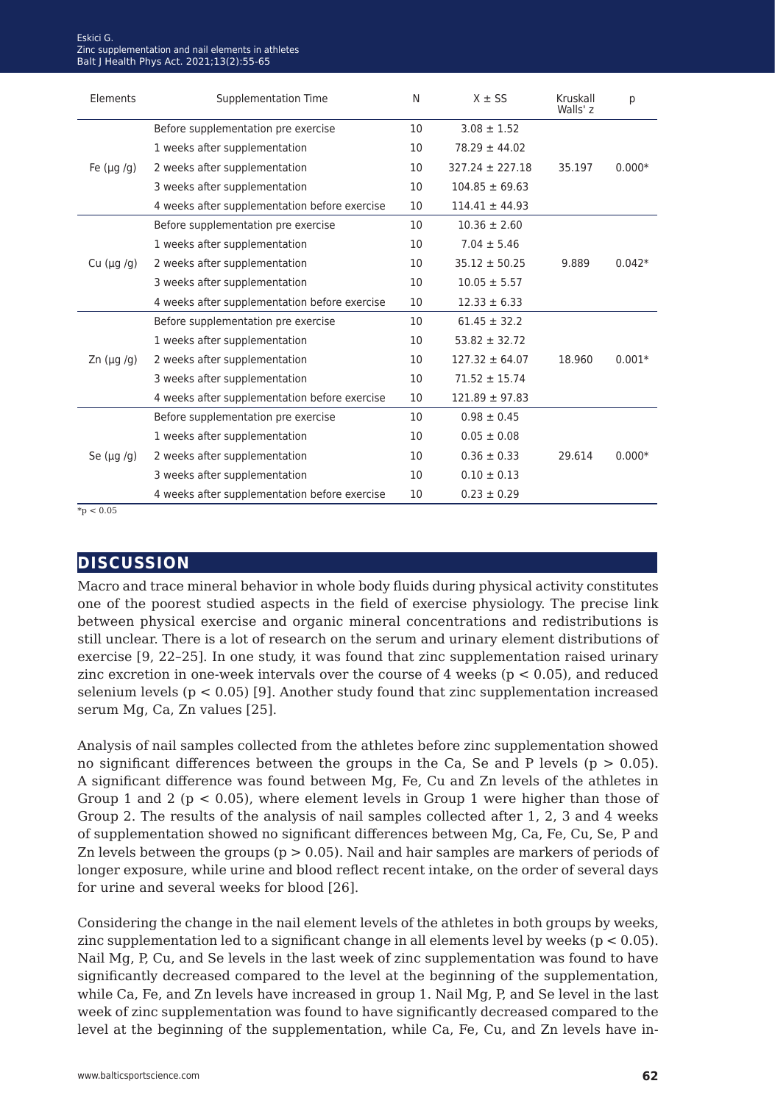| Elements           | <b>Supplementation Time</b>                   | N  | $X \pm SS$          | Kruskall<br>Walls' <sub>z</sub> | р        |
|--------------------|-----------------------------------------------|----|---------------------|---------------------------------|----------|
| Fe $(\mu q / q)$   | Before supplementation pre exercise           | 10 | $3.08 \pm 1.52$     |                                 |          |
|                    | 1 weeks after supplementation                 | 10 | $78.29 \pm 44.02$   |                                 |          |
|                    | 2 weeks after supplementation                 | 10 | $327.24 \pm 227.18$ | 35.197                          | $0.000*$ |
|                    | 3 weeks after supplementation                 | 10 | $104.85 \pm 69.63$  |                                 |          |
|                    | 4 weeks after supplementation before exercise | 10 | $114.41 \pm 44.93$  |                                 |          |
|                    | Before supplementation pre exercise           | 10 | $10.36 \pm 2.60$    |                                 |          |
|                    | 1 weeks after supplementation                 | 10 | $7.04 \pm 5.46$     |                                 |          |
| Cu $(\mu g / g)$   | 2 weeks after supplementation                 | 10 | $35.12 \pm 50.25$   | 9.889                           | $0.042*$ |
|                    | 3 weeks after supplementation                 | 10 | $10.05 \pm 5.57$    |                                 |          |
|                    | 4 weeks after supplementation before exercise | 10 | $12.33 \pm 6.33$    |                                 |          |
|                    | Before supplementation pre exercise           | 10 | $61.45 \pm 32.2$    |                                 |          |
|                    | 1 weeks after supplementation                 | 10 | $53.82 \pm 32.72$   |                                 |          |
| $Zn$ ( $\mu$ g /g) | 2 weeks after supplementation                 | 10 | $127.32 \pm 64.07$  | 18.960                          | $0.001*$ |
|                    | 3 weeks after supplementation                 | 10 | $71.52 \pm 15.74$   |                                 |          |
|                    | 4 weeks after supplementation before exercise | 10 | $121.89 \pm 97.83$  |                                 |          |
| Se $(\mu g/g)$     | Before supplementation pre exercise           | 10 | $0.98 \pm 0.45$     |                                 |          |
|                    | 1 weeks after supplementation                 | 10 | $0.05 \pm 0.08$     |                                 |          |
|                    | 2 weeks after supplementation                 | 10 | $0.36 \pm 0.33$     | 29.614                          | $0.000*$ |
|                    | 3 weeks after supplementation                 | 10 | $0.10 \pm 0.13$     |                                 |          |
|                    | 4 weeks after supplementation before exercise | 10 | $0.23 \pm 0.29$     |                                 |          |

 $*_{p}$  < 0.05

### **discussion**

Macro and trace mineral behavior in whole body fluids during physical activity constitutes one of the poorest studied aspects in the field of exercise physiology. The precise link between physical exercise and organic mineral concentrations and redistributions is still unclear. There is a lot of research on the serum and urinary element distributions of exercise [9, 22–25]. In one study, it was found that zinc supplementation raised urinary zinc excretion in one-week intervals over the course of  $4$  weeks ( $p < 0.05$ ), and reduced selenium levels ( $p < 0.05$ ) [9]. Another study found that zinc supplementation increased serum Mg, Ca, Zn values [25].

Analysis of nail samples collected from the athletes before zinc supplementation showed no significant differences between the groups in the Ca, Se and P levels ( $p > 0.05$ ). A significant difference was found between Mg, Fe, Cu and Zn levels of the athletes in Group 1 and 2 ( $p < 0.05$ ), where element levels in Group 1 were higher than those of Group 2. The results of the analysis of nail samples collected after 1, 2, 3 and 4 weeks of supplementation showed no significant differences between Mg, Ca, Fe, Cu, Se, P and Zn levels between the groups ( $p > 0.05$ ). Nail and hair samples are markers of periods of longer exposure, while urine and blood reflect recent intake, on the order of several days for urine and several weeks for blood [26].

Considering the change in the nail element levels of the athletes in both groups by weeks, zinc supplementation led to a significant change in all elements level by weeks ( $p < 0.05$ ). Nail Mg, P, Cu, and Se levels in the last week of zinc supplementation was found to have significantly decreased compared to the level at the beginning of the supplementation, while Ca, Fe, and Zn levels have increased in group 1. Nail Mg, P, and Se level in the last week of zinc supplementation was found to have significantly decreased compared to the level at the beginning of the supplementation, while Ca, Fe, Cu, and Zn levels have in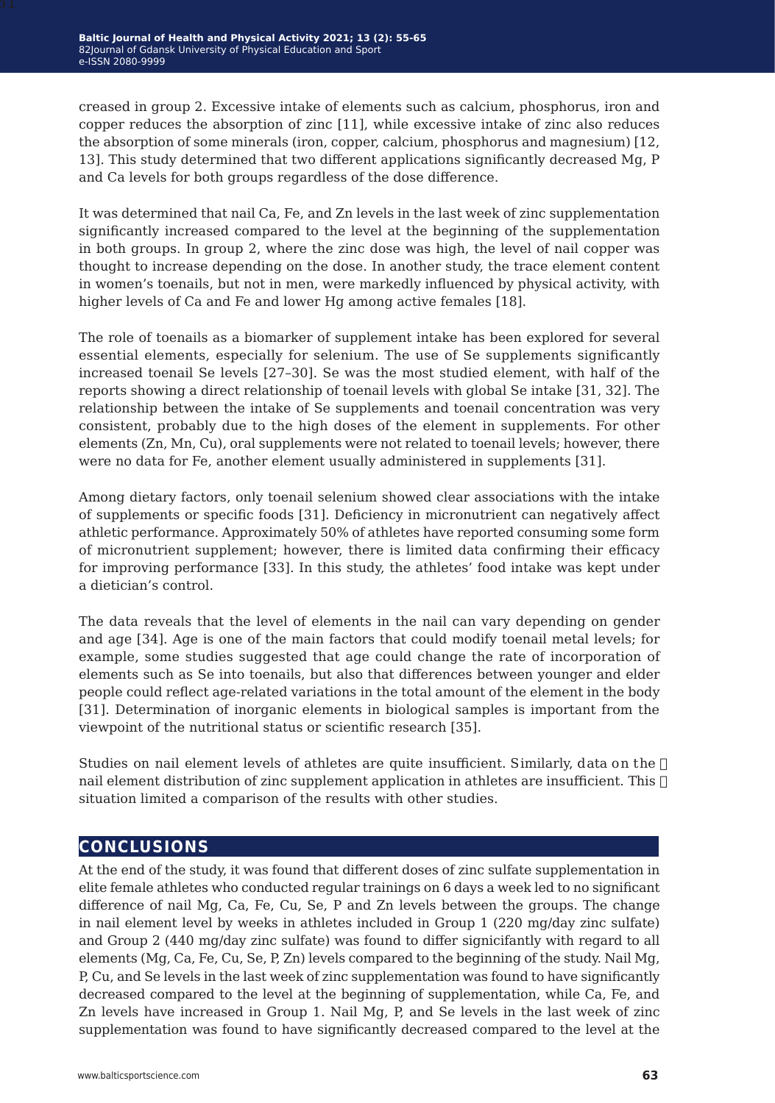creased in group 2. Excessive intake of elements such as calcium, phosphorus, iron and copper reduces the absorption of zinc [11], while excessive intake of zinc also reduces the absorption of some minerals (iron, copper, calcium, phosphorus and magnesium) [12, 13]. This study determined that two different applications significantly decreased Mg, P and Ca levels for both groups regardless of the dose difference.

It was determined that nail Ca, Fe, and Zn levels in the last week of zinc supplementation significantly increased compared to the level at the beginning of the supplementation in both groups. In group 2, where the zinc dose was high, the level of nail copper was thought to increase depending on the dose. In another study, the trace element content in women's toenails, but not in men, were markedly influenced by physical activity, with higher levels of Ca and Fe and lower Hg among active females [18].

The role of toenails as a biomarker of supplement intake has been explored for several essential elements, especially for selenium. The use of Se supplements significantly increased toenail Se levels [27–30]. Se was the most studied element, with half of the reports showing a direct relationship of toenail levels with global Se intake [31, 32]. The relationship between the intake of Se supplements and toenail concentration was very consistent, probably due to the high doses of the element in supplements. For other elements (Zn, Mn, Cu), oral supplements were not related to toenail levels; however, there were no data for Fe, another element usually administered in supplements [31].

Among dietary factors, only toenail selenium showed clear associations with the intake of supplements or specific foods [31]. Deficiency in micronutrient can negatively affect athletic performance. Approximately 50% of athletes have reported consuming some form of micronutrient supplement; however, there is limited data confirming their efficacy for improving performance [33]. In this study, the athletes' food intake was kept under a dietician's control.

The data reveals that the level of elements in the nail can vary depending on gender and age [34]. Age is one of the main factors that could modify toenail metal levels; for example, some studies suggested that age could change the rate of incorporation of elements such as Se into toenails, but also that differences between younger and elder people could reflect age-related variations in the total amount of the element in the body [31]. Determination of inorganic elements in biological samples is important from the viewpoint of the nutritional status or scientific research [35].

Studies on nail element levels of athletes are quite insufficient. Similarly, data on the  $\Box$ nail element distribution of zinc supplement application in athletes are insufficient. This  $\Box$ situation limited a comparison of the results with other studies.

### **conclusions**

At the end of the study, it was found that different doses of zinc sulfate supplementation in elite female athletes who conducted regular trainings on 6 days a week led to no significant difference of nail Mg, Ca, Fe, Cu, Se, P and Zn levels between the groups. The change in nail element level by weeks in athletes included in Group 1 (220 mg/day zinc sulfate) and Group 2 (440 mg/day zinc sulfate) was found to differ signicifantly with regard to all elements (Mg, Ca, Fe, Cu, Se, P, Zn) levels compared to the beginning of the study. Nail Mg, P, Cu, and Se levels in the last week of zinc supplementation was found to have significantly decreased compared to the level at the beginning of supplementation, while Ca, Fe, and Zn levels have increased in Group 1. Nail Mg, P, and Se levels in the last week of zinc supplementation was found to have significantly decreased compared to the level at the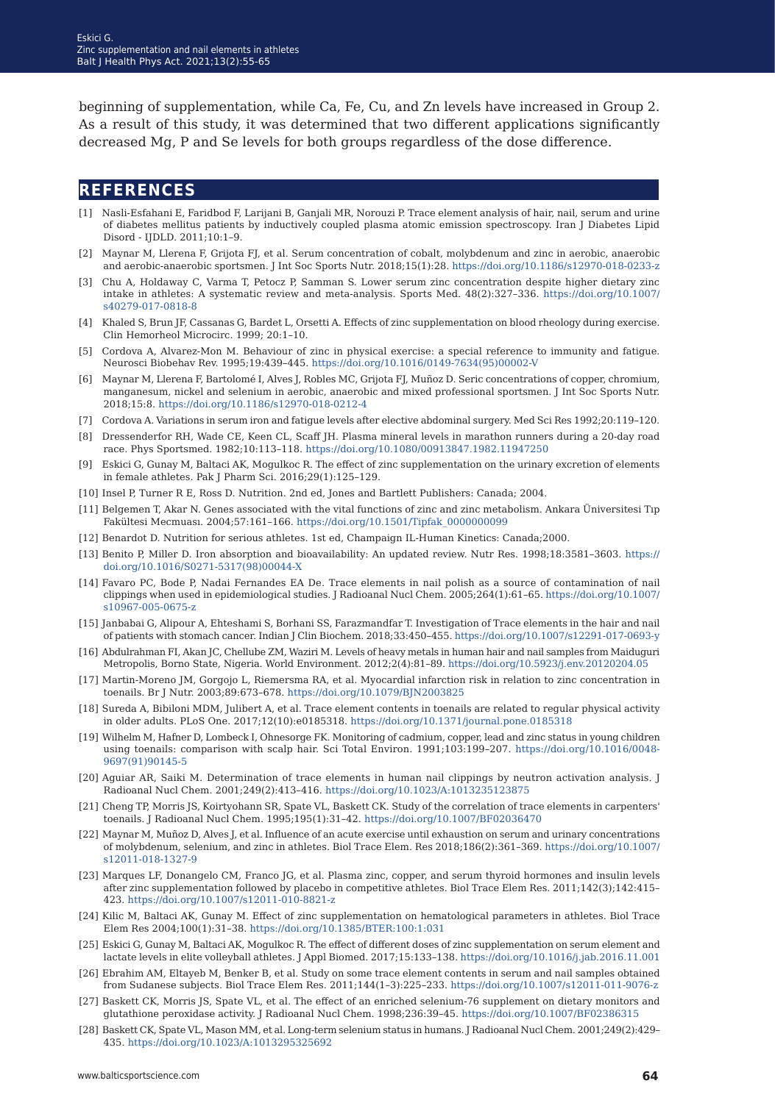beginning of supplementation, while Ca, Fe, Cu, and Zn levels have increased in Group 2. As a result of this study, it was determined that two different applications significantly decreased Mg, P and Se levels for both groups regardless of the dose difference.

### **references**

- [1] Nasli-Esfahani E, Faridbod F, Larijani B, Ganjali MR, Norouzi P. Trace element analysis of hair, nail, serum and urine of diabetes mellitus patients by inductively coupled plasma atomic emission spectroscopy. Iran J Diabetes Lipid Disord - IJDLD. 2011;10:1–9.
- [2] Maynar M, Llerena F, Grijota FJ, et al. Serum concentration of cobalt, molybdenum and zinc in aerobic, anaerobic and aerobic-anaerobic sportsmen. J Int Soc Sports Nutr. 2018;15(1):28.<https://doi.org/10.1186/s12970-018-0233-z>
- [3] Chu A, Holdaway C, Varma T, Petocz P, Samman S. Lower serum zinc concentration despite higher dietary zinc intake in athletes: A systematic review and meta-analysis. Sports Med. 48(2):327–336. [https://doi.org/10.1007/](https://doi.org/10.1007/s40279-017-0818-8 ) [s40279-017-0818-8](https://doi.org/10.1007/s40279-017-0818-8 )
- [4] Khaled S, Brun JF, Cassanas G, Bardet L, Orsetti A. Effects of zinc supplementation on blood rheology during exercise. Clin Hemorheol Microcirc. 1999; 20:1–10.
- [5] Cordova A, Alvarez-Mon M. Behaviour of zinc in physical exercise: a special reference to immunity and fatigue. Neurosci Biobehav Rev. 1995;19:439–445. [https://doi.org/10.1016/0149-7634\(95\)00002-V](https://doi.org/10.1016/0149-7634(95)00002-V)
- [6] Maynar M, Llerena F, Bartolomé I, Alves J, Robles MC, Grijota FJ, Muñoz D. Seric concentrations of copper, chromium, manganesum, nickel and selenium in aerobic, anaerobic and mixed professional sportsmen. J Int Soc Sports Nutr. 2018;15:8.<https://doi.org/10.1186/s12970-018-0212-4>
- [7] Cordova A. Variations in serum iron and fatigue levels after elective abdominal surgery. Med Sci Res 1992;20:119–120.
- [8] Dressenderfor RH, Wade CE, Keen CL, Scaff JH. Plasma mineral levels in marathon runners during a 20-day road race. Phys Sportsmed. 1982;10:113–118. <https://doi.org/10.1080/00913847.1982.11947250>
- [9] Eskici G, Gunay M, Baltaci AK, Mogulkoc R. The effect of zinc supplementation on the urinary excretion of elements in female athletes. Pak J Pharm Sci. 2016;29(1):125–129.
- [10] Insel P, Turner R E, Ross D. Nutrition. 2nd ed, Jones and Bartlett Publishers: Canada; 2004.
- [11] Belgemen T, Akar N. Genes associated with the vital functions of zinc and zinc metabolism. Ankara Üniversitesi Tıp Fakültesi Mecmuası. 2004;57:161–166. [https://doi.org/10.1501/Tipfak\\_0000000099](https://doi.org/10.1501/Tipfak_0000000099)
- [12] Benardot D. Nutrition for serious athletes. 1st ed, Champaign IL-Human Kinetics: Canada;2000.
- [13] Benito P, Miller D. Iron absorption and bioavailability: An updated review. Nutr Res. 1998;18:3581–3603. [https://](https://doi.org/10.1016/S0271-5317(98)00044-X ) [doi.org/10.1016/S0271-5317\(98\)00044-X](https://doi.org/10.1016/S0271-5317(98)00044-X )
- [14] Favaro PC, Bode P, Nadai Fernandes EA De. Trace elements in nail polish as a source of contamination of nail clippings when used in epidemiological studies. J Radioanal Nucl Chem. 2005;264(1):61–65. [https://doi.org/10.1007/](https://doi.org/10.1007/s10967-005-0675-z  ) [s10967-005-0675-z](https://doi.org/10.1007/s10967-005-0675-z  )
- [15] Janbabai G, Alipour A, Ehteshami S, Borhani SS, Farazmandfar T. Investigation of Trace elements in the hair and nail of patients with stomach cancer. Indian J Clin Biochem. 2018;33:450–455. [https://doi.org/10.1007/s12291-017-0693-y](https://doi.org/10.1007/s12291-017-0693-y )
- [16] Abdulrahman FI, Akan JC, Chellube ZM, Waziri M. Levels of heavy metals in human hair and nail samples from Maiduguri Metropolis, Borno State, Nigeria. World Environment. 2012;2(4):81–89. [https://doi.org/10.5923/j.env.20120204.05](https://doi.org/10.5923/j.env.20120204.05 )
- [17] Martin-Moreno JM, Gorgojo L, Riemersma RA, et al. Myocardial infarction risk in relation to zinc concentration in toenails. Br J Nutr. 2003;89:673–678.<https://doi.org/10.1079/BJN2003825>
- [18] Sureda A, Bibiloni MDM, Julibert A, et al. Trace element contents in toenails are related to regular physical activity in older adults. PLoS One. 2017;12(10):e0185318. <https://doi.org/10.1371/journal.pone.0185318>
- [19] Wilhelm M, Hafner D, Lombeck I, Ohnesorge FK. Monitoring of cadmium, copper, lead and zinc status in young children using toenails: comparison with scalp hair. Sci Total Environ. 1991;103:199–207. [https://doi.org/10.1016/0048-](https://doi.org/10.1016/0048-9697(91)90145-5 ) [9697\(91\)90145-5](https://doi.org/10.1016/0048-9697(91)90145-5 )
- [20] Aguiar AR, Saiki M. Determination of trace elements in human nail clippings by neutron activation analysis. J Radioanal Nucl Chem. 2001;249(2):413–416. <https://doi.org/10.1023/A:1013235123875>
- [21] Cheng TP, Morris JS, Koirtyohann SR, Spate VL, Baskett CK. Study of the correlation of trace elements in carpenters' toenails. J Radioanal Nucl Chem. 1995;195(1):31–42. <https://doi.org/10.1007/BF02036470>
- [22] Maynar M, Muñoz D, Alves J, et al. Influence of an acute exercise until exhaustion on serum and urinary concentrations of molybdenum, selenium, and zinc in athletes. Biol Trace Elem. Res 2018;186(2):361–369. [https://doi.org/10.1007/](https://doi.org/10.1007/s12011-018-1327-9) [s12011-018-1327-9](https://doi.org/10.1007/s12011-018-1327-9)
- [23] Marques LF, Donangelo CM, Franco JG, et al. Plasma zinc, copper, and serum thyroid hormones and insulin levels after zinc supplementation followed by placebo in competitive athletes. Biol Trace Elem Res. 2011;142(3);142:415– 423. [https://doi.org/10.1007/s12011-010-8821-z](https://doi.org/10.1007/s12011-010-8821-z )
- [24] Kilic M, Baltaci AK, Gunay M. Effect of zinc supplementation on hematological parameters in athletes. Biol Trace Elem Res 2004;100(1):31–38. <https://doi.org/10.1385/BTER:100:1:031>
- [25] Eskici G, Gunay M, Baltaci AK, Mogulkoc R. The effect of different doses of zinc supplementation on serum element and lactate levels in elite volleyball athletes. J Appl Biomed. 2017;15:133–138. [https://doi.org/10.1016/j.jab.2016.11.001](https://doi.org/10.1016/j.jab.2016.11.001 )
- [26] Ebrahim AM, Eltayeb M, Benker B, et al. Study on some trace element contents in serum and nail samples obtained from Sudanese subjects. Biol Trace Elem Res. 2011;144(1–3):225–233. [https://doi.org/10.1007/s12011-011-9076-z](https://doi.org/10.1007/s12011-011-9076-z )
- [27] Baskett CK, Morris JS, Spate VL, et al. The effect of an enriched selenium-76 supplement on dietary monitors and glutathione peroxidase activity. J Radioanal Nucl Chem. 1998;236:39–45. [https://doi.org/10.1007/BF02386315]( https://doi.org/10.1007/BF02386315 )
- [28] Baskett CK, Spate VL, Mason MM, et al. Long-term selenium status in humans. J Radioanal Nucl Chem. 2001;249(2):429– 435.<https://doi.org/10.1023/A:1013295325692>